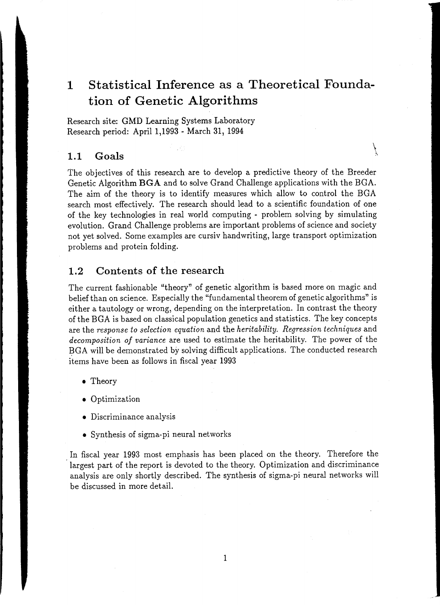# **1 Statistical Inference as a Theoretical Foundation of Genetic Algorithms**

Research site: GMD Learning Systems Laboratory Research period: April 1,1993 - March 31, 1994

# $\bf 1.1 ~~ Goals$   $\qquad \qquad \backslash$

The objectives of this research are to develop a predictive theory of the Breeder Genetic Algorithm **BGA** and to solve Grand Challenge applications with the BGA. The aim of the theory is to identify measures which allow to control the BGA search most effectively. The research should lead to a scientific foundation of one of the key technologies in real world computing - problem solving by simulating evolution. Grand Challenge problems are important problems of science and society not yet solved. Some examples are cursiv handwriting, large transport optimization problems and protein folding.

# **1.2 Contents of the research**

The current fashionable "theory" of genetic algorithm is based more on magic and belief than on science. Especially the "fundamental theorem of genetic algorithms" is either a tautology or wrong, depending on the interpretation. In contrast the theory of the BGA is based on classical population genetics and statistics. The key concepts are the *response to selection equation* and the *heritability. Regression techniques* and *decomposition of variance* are used to estimate the heritability. The power of the BGA will be demonstrated by solving difficult applications. The conducted research items have been as follows in fiscal year 1993

- Theory
- Optimization
- Discriminance analysis
- Synthesis of sigma-pi neural networks

In fiscal year 1993 most emphasis has been placed on the theory. Therefore the largest part of the report is devoted to the theory. Optimization and discriminance analysis are only shortly described. The synthesis of sigma-pi neural networks will be discussed in more detail.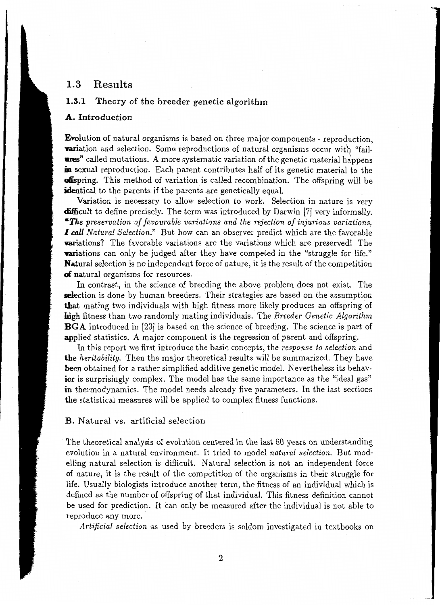# 1.3 Results

# 1.3.1 Theory of the breeder genetic algorithm

# A. Introduction

Evolution of natural organisms is based on three major components - reproduction, **variation** and selection. Some reproductions of natural organisms occur with "failures" called mutations. A more systematic variation of the genetic material happens in sexual reproduction. Each parent contributes half of its genetic material to the offspring. This method of variation is called recombination. The offspring will be **identical** to the parents if the parents are genetically equal.

Variation is necessary to allow selection to work. Selection in nature is very difficult to define precisely. The term was introduced by Darwin [7] very informally. *•The preservation of favourable variations and the rejection of injurious variations, I* call *Natural Selection.*" But how can an observer predict which are the favorable **variations?** The favorable variations are the variations which are preserved! The **variations** can only be judged after they have competed in the "struggle for life." Natural selection is no independent force of nature, it is the result of the competition of natural organisms for resources.

In contrast, in the science of breeding the above problem does not exist. The **sele**ction is done by human breeders. Their strategies are based on the assumption that mating two individuals with high fitness more likely produces an offspring of high fitness than two randomly mating individuals. The *Breeder Genetic Algorithm*  BGA introduced in [23] is based on the science of breeding. The science is part of applied statistics. A major component is the regression of parent and offspring.

In this report we first introduce the basic concepts, the *response to selection* and the *heritability.* Then the major theoretical results will be summarized. They have **been** obtained for a rather simplified additive genetic model. Nevertheless its behavior is surprisingly complex. The model has the same importance as the "ideal gas" in thermodynamics. The model needs already five parameters. In the last sections the statistical measures will be applied to complex fitness functions.

#### B. Natural vs. artificial selection

The theoretical analysis of evolution centered in the last 60 years on understanding evolution in a natural environment. It tried to model *natural selection.* But modelling natural selection is difficult. Natural selection is not an independent force of nature, it is the result of the competition of the organisms in their struggle for life. Usually biologists introduce another term, the fitness of an individual which is defined as the number of offspring of that individual. This fitness definition cannot be used for prediction. It can only be measured after the individual is not able to reproduce any more.

*Artificial selection* as used by breeders is seldom investigated in textbooks on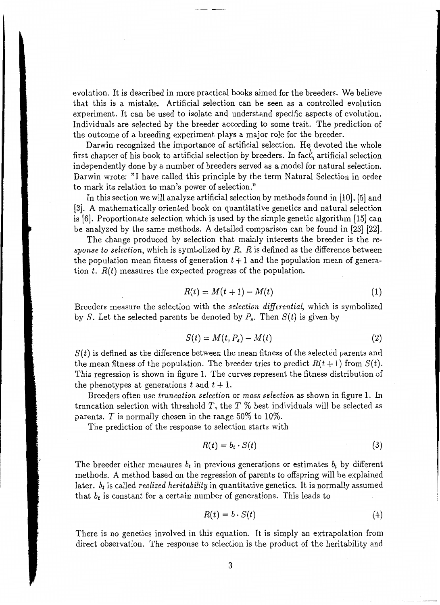evolution. It is described in more practical books aimed for the breeders. We believe that this is a mistake. Artificial selection can be seen as a controlled evolution experiment. It can be used to isolate and understand specific aspects of evolution. Individuals are selected by the breeder according to some trait. The prediction of the outcome of a breeding experiment plays a major role for the breeder.

Darwin recognized the importance of artificial selection. He devoted the whole first chapter of his book to artificial selection by breeders. In fact, artificial selection independently done by a number of breeders served as a model for natural selection. Darwin wrote: "I have called this principle by the term Natural Selection in order to mark its relation to man's power of selection."

In this section we will analyze artificial selection by methods found in [10], [5] and [3]. A mathematically oriented book on quantitative genetics and natural selection is [6]. Proportionate selection which is used by the simple genetic algorithm [15] can be analyzed by the same methods. A detailed comparison can be found in [23] [22].

The change produced by selection that mainly interests the breeder is the *response to selection,* which is symbolized by *R. R* is defined as the difference between the population mean fitness of generation  $t + 1$  and the population mean of generation *t. R(t)* measures the expected progress of the population.

$$
R(t) = M(t+1) - M(t) \tag{1}
$$

Breeders measure the selection with the *selection differential,* which is symbolized by S. Let the selected parents be denoted by  $P_s$ . Then  $S(t)$  is given by

$$
S(t) = M(t, P_s) - M(t) \tag{2}
$$

 $S(t)$  is defined as the difference between the mean fitness of the selected parents and the mean fitness of the population. The breeder tries to predict  $R(t+1)$  from  $S(t)$ . This regression is shown in figure 1. The curves represent the fitness distribution of the phenotypes at generations *t* and  $t + 1$ .

Breeders often use *truncation selection* or *mass selection* as shown in figure 1. In truncation selection with threshold T, the T  $%$  best individuals will be selected as parents. T is normally chosen in the range  $50\%$  to  $10\%$ .

The prediction of the response to selection starts with

$$
R(t) = b_t \cdot S(t) \tag{3}
$$

The breeder either measures  $b_t$  in previous generations or estimates  $b_t$  by different methods. A method based on the regression of parents to offspring will be explained later. *b<sub>t</sub>* is called *realized heritability* in quantitative genetics. It is normally assumed that  $b_t$  is constant for a certain number of generations. This leads to

$$
R(t) = b \cdot S(t) \tag{4}
$$

There is no genetics involved in this equation. It is simply an extrapolation from direct observation. The response to selection is the product of the heritability and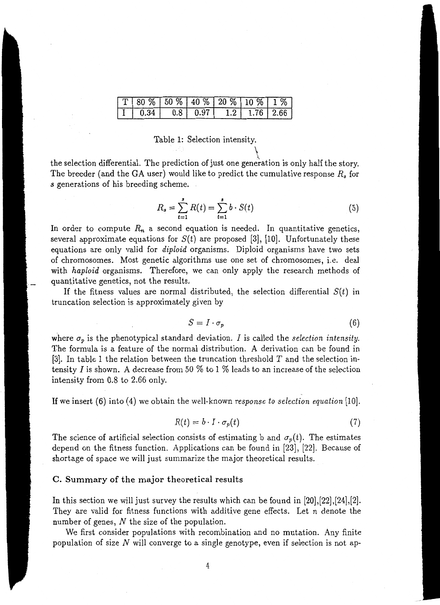| $T180\%$   50 %   40 %   20 %   10 %   1 % |  |  |             |
|--------------------------------------------|--|--|-------------|
|                                            |  |  | 1.76   2.66 |

# Table 1: Selection intensity.

the selection differential. The prediction of just one generation is only half the story. The breeder (and the GA user) would like to predict the cumulative response  $R_s$  for *s* generations of his breeding scheme.

$$
R_s = \sum_{t=1}^{s} R(t) = \sum_{t=1}^{s} b \cdot S(t)
$$
 (5)

 $\int$ 

In order to compute  $R_n$  a second equation is needed. In quantitative genetics, several approximate equations for  $S(t)$  are proposed [3], [10]. Unfortunately these equations are only valid for *diploid* organisms. Diploid organisms have two sets of chromosomes. Most genetic algorithms use one set of chromosomes, i.e. deal with *haploid* organisms. Therefore, we can only apply the research methods of quantitative genetics, not the results.

If the fitness values are normal distributed, the selection differential  $S(t)$  in truncation selection is approximately given by

$$
S = I \cdot \sigma_p \tag{6}
$$

where  $\sigma_p$  is the phenotypical standard deviation. *I* is called the *selection intensity*. The formula is a feature of the normal distribution. A derivation can be found in [3]. In table 1 the relation between the truncation threshold  $T$  and the selection intensity I is shown. A decrease from 50  $%$  to 1  $%$  leads to an increase of the selection intensity from 0.8 to 2.66 only.

If we insert (6) into (4) we obtain the well-known *response to selection equation* [10].

$$
R(t) = b \cdot I \cdot \sigma_p(t) \tag{7}
$$

The science of artificial selection consists of estimating b and  $\sigma_p(t)$ . The estimates depend on the fitness function. Applications can be found in [23), [22). Because of shortage of space we will just summarize the major theoretical results.

#### C. Summary of the major theoretical results

In this section we will just survey the results which can be found in [20),[22],[24],[2]. They are valid for fitness functions with additive gene effects. Let *n* denote the number of genes,  $N$  the size of the population.

We first consider populations with recombination and no mutation. Any finite population of size  $N$  will converge to a single genotype, even if selection is not ap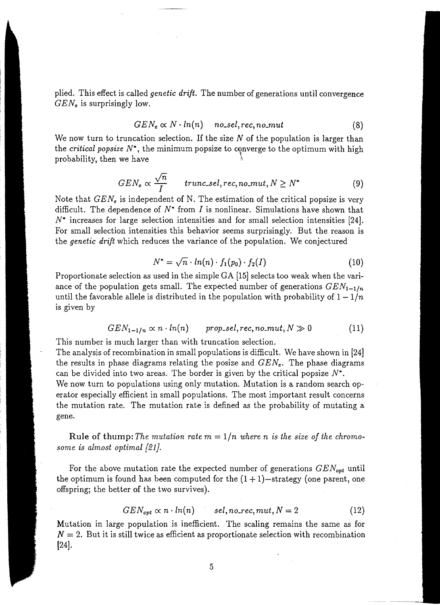plied. This effect is called *genetic drift.* The number of generations until convergence *GENe* is surprisingly low.

$$
GEN_e \propto N \cdot ln(n) \quad no\_sel, rec, no\_mut \tag{8}
$$

We now turn to truncation selection. If the size *N* of the population is larger than the *critical popsize* N\*, the minimum popsize to converge to the optimum with high probability, then we have

$$
GEN_e \propto \frac{\sqrt{n}}{I} \qquad true\_sel, rec, no\_mut, N \ge N^* \tag{9}
$$

Note that  $GEN_e$  is independent of N. The estimation of the critical popsize is very difficult. The dependence of  $N^*$  from  $I$  is nonlinear. Simulations have shown that *N\** increases for large selection intensities and for small selection intensities [24]. For small selection intensities this behavior seems surprisingly. But the reason is the *genetic drift* which reduces the variance of the population. We conjectured

$$
N^* = \sqrt{n} \cdot ln(n) \cdot f_1(p_0) \cdot f_2(I) \tag{10}
$$

Proportionate selection as used in the simple GA [15] selects too weak when the variance of the population gets small. The expected number of generations  $GEN_{1-1/n}$ until the favorable allele is distributed in the population with probability of  $1-1/n$ is given by

$$
GEN_{1-1/n} \propto n \cdot ln(n) \qquad prop\_sel, rec, no\_mut, N \gg 0 \qquad (11)
$$

This number is much larger than with truncation selection.

The analysis of recombination in small populations is difficult. We have shown in [24] the results in phase diagrams relating the posize and *GENe.* The phase diagrams can be divided into two areas. The border is given by the critical popsize *N\*.* 

We now turn to populations using only mutation. Mutation is a random search operator especially efficient in small populations. The most important result concerns the mutation rate. The mutation rate is defined as the probability of mutating a gene.

Rule of thump: The mutation rate  $m = 1/n$  where n is the size of the chromo*some is almost optimal {21 }.* 

For the above mutation rate the expected number of generations  $GEN_{opt}$  until the optimum is found has been computed for the  $(1 + 1)$ -strategy (one parent, one offspring; the better of the two survives).

$$
GEN_{opt} \propto n \cdot ln(n) \qquad sel, no\_rec, mut, N = 2 \qquad (12)
$$

Mutation in large population is inefficient. The scaling remains the same as for  $N=2$ . But it is still twice as efficient as proportionate selection with recombination [24].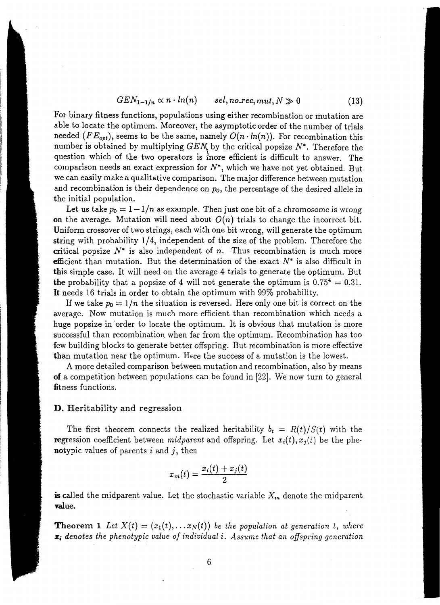$$
GEN_{1-1/n} \propto n \cdot ln(n) \qquad sel, no\_rec, mut, N \gg 0 \qquad (13)
$$

For binary fitness functions, populations using either recombination or mutation are able to locate the optimum. Moreover, the asymptotic order of the number of trials needed *(FE<sub>opt</sub>)*, seems to be the same, namely  $O(n \cdot ln(n))$ . For recombination this number is obtained by multiplying  $GEN$  by the critical popsize  $N^*$ . Therefore the question which of the two operators is more efficient is difficult to answer. The comparison needs an exact expression for  $N^*$ , which we have not yet obtained. But we can easily make a qualitative comparison. The major difference between mutation and recombination is their dependence on p*<sup>0</sup> ,* the percentage of the desired *allele* in the initial population.

Let us take  $p_0 = 1 - 1/n$  as example. Then just one bit of a chromosome is wrong on the average. Mutation will need about  $O(n)$  trials to change the incorrect bit. Uniform crossover of two strings, each with one bit wrong, will generate the optimum string with probability 1/4, independent of the size of the problem. Therefore the critical popsize  $N^*$  is also independent of *n*. Thus recombination is much more efficient than mutation. But the determination of the exact  $N^*$  is also difficult in this simple case. It will need on the average 4 trials to generate the optimum. But the probability that a popsize of 4 will not generate the optimum is  $0.75^4 = 0.31$ . It needs 16 trials in order to obtain the optimum with 99% probability.

If we take  $p_0 = 1/n$  the situation is reversed. Here only one bit is correct on the average. Now mutation is much more efficient than recombination which needs a huge popsize in order to locate the optimum. It is obvious that mutation is more successful than recombination when far from the optimum. Recombination has too few building blocks to generate better offspring. But recombination is more effective than mutation near the optimum. Here the success of a mutation is the lowest.

A more detailed comparison between mutation and recombination, also by means of a competition between populations can be found in [22]. We now turn to general fitness functions.

# D. Heritability and regression

The first theorem connects the realized heritability  $b_t = R(t)/S(t)$  with the **regression** coefficient between *midparent* and offspring. Let  $x_i(t), x_j(t)$  be the phenotypic values of parents  $i$  and  $j$ , then

$$
x_m(t) = \frac{x_i(t) + x_j(t)}{2}
$$

**is called the midparent value.** Let the stochastic variable  $X_m$  denote the midparent value.

**Theorem 1** Let  $X(t) = (x_1(t), \ldots x_N(t))$  be the population at generation t, where Zi *denotes the phenotypic value of individual* i. *Assume that an offspring generation*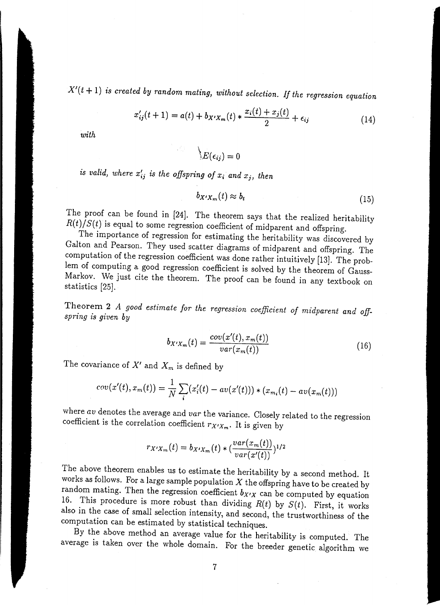$X'(t + 1)$  *is created by random mating, without selection. If the regression equation* 

$$
x'_{ij}(t+1) = a(t) + b_{X'X_m}(t) * \frac{x_i(t) + x_j(t)}{2} + \epsilon_{ij}
$$
 (14)

*with* 

$$
\setminus E(\epsilon_{ij})=0
$$

*is valid, where*  $x'_{ij}$  *is the offspring of*  $x_i$  *and*  $x_j$ *, then* 

$$
b_{X'X_m}(t) \approx b_t \tag{15}
$$

The proof can be found in [24]. The theorem says that the realized heritability  $R(t)/S(t)$  is equal to some regression coefficient of midparent and offspring.

The importance of regression for estimating the heritability was discovered by Galton and Pearson. They used scatter diagrams of midparent and offspring. The computation of the regression coefficient was done rather intuitively [13]. The problem of computing a good regression coefficient is solved by the theorem of Gauss-Markov. We just cite the theorem. The proof can be found in any textbook on statistics [25].

Theorem 2 *A good estimate for the regression coefficient of midparent and offspring is given by* 

$$
b_{X'X_m}(t) = \frac{cov(x'(t), x_m(t))}{var(x_m(t))}
$$
\n(16)

The covariance of  $X'$  and  $X_m$  is defined by

$$
cov(x'(t), x_m(t)) = \frac{1}{N} \sum_i (x'_i(t) - av(x'(t))) * (x_{m_i}(t) - av(x_m(t)))
$$

where *av* denotes the average and *var* the variance. Closely related to the regression coefficient is the correlation coefficient  $r_{X'X_m}$ . It is given by

$$
r_{X'X_m}(t) = b_{X'X_m}(t) * (\frac{var(x_m(t))}{var(x'(t))})^{1/2}
$$

The above theorem enables us to estimate the heritability by a second method. It works as follows. For a large sample population  $X$  the offspring have to be created by random mating. Then the regression coefficient  $b_{X'X}$  can be computed by equation 16. This procedure is more robust than dividing  $R(t)$  by  $S(t)$ . First, it works also in the case of small selection intensity, and second, the trustworthiness of the computation can be estimated by statistical techniques.

By the above method an average value for the heritability is computed. The average is taken over the whole domain. For the breeder genetic algorithm we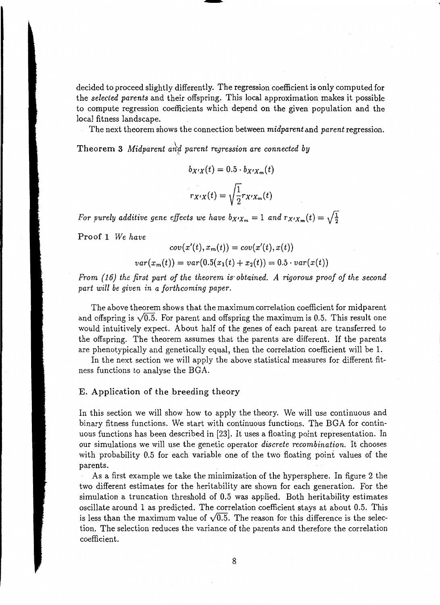decided to proceed slightly differently. The regression coefficient is only computed for the *selected parents* and their offspring. This local approximation makes it possible to compute regression coefficients which depend on the given population and the local fitness landscape.

ا<br>ا

-

The next theorem shows the connection between *midparent* and *parent* regression.

Theorem 3 *Midparent and parent regression are connected by* 

$$
b_{X'X}(t) = 0.5 \cdot b_{X'X_m}(t)
$$

$$
r_{X'X}(t) = \sqrt{\frac{1}{2}} r_{X'X_m}(t)
$$

*For purely additive gene effects we have*  $b_{X'X_m} = 1$  *and*  $r_{X'X_m}(t) = \sqrt{\frac{1}{2}}$ 

Proof 1 *We have* 

$$
cov(x'(t), x_m(t)) = cov(x'(t), x(t))
$$

$$
var(x_m(t)) = var(0.5(x_1(t) + x_2(t)) = 0.5 \cdot var(x(t))
$$

*From {16) the first part of the theorem is· obtained. A rigorous proof of the second part will be given in a forthcoming paper.* 

The above theorem shows that the maximum correlation coefficient for midparent and offspring is  $\sqrt{0.5}$ . For parent and offspring the maximum is 0.5. This result one would intuitively expect. About half of the genes of each parent are transferred to the offspring. The theorem assumes that the parents are different. If the parents are phenotypically and genetically equal, then the correlation coefficient will be 1.

In the next section we will apply the above statistical measures for different fitness functions to analyse the BGA.

# E. Application of the breeding theory

In this section we will show how to apply the theory. We will use continuous and binary fitness functions. We start with continuous functions. The BGA for continuous functions has been described in [23]. It uses a floating point representation. In our simulations we will use the genetic operator *discrete recombination.* It chooses with probability 0.5 for each variable one of the two floating point values of the parents.

As a first example we take the minimization of the hypersphere. In figure 2 the two different estimates for the heritability are shown for each generation. For the simulation a truncation threshold of 0.5 was applied. Both heritability estimates oscillate around 1 as predicted. The correlation coefficient stays at about 0.5. This is less than the maximum value of  $\sqrt{0.5}$ . The reason for this difference is the selection. The selection reduces the variance of the parents and therefore the correlation coefficient.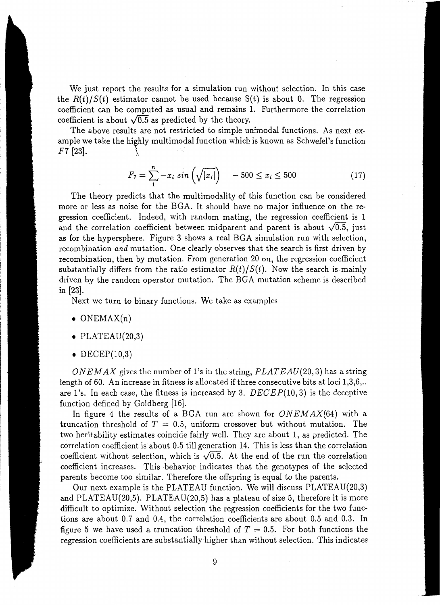We just report the results for a simulation run without selection. In this case the  $R(t)/S(t)$  estimator cannot be used because S(t) is about 0. The regression coefficient can be computed as usual and remains 1. Furthermore the correlation coefficient is about  $\sqrt{0.5}$  as predicted by the theory.

The above results are not restricted to simple unimodal functions. As next example we take the highly multimodal function which is known as Schwefel's function  $F7 \; [23]$ .

$$
F_7 = \sum_{i=1}^{n} -x_i \sin\left(\sqrt{|x_i|}\right) \quad -500 \le x_i \le 500 \tag{17}
$$

The theory predicts that the multimodality of this function can be considered more or less as noise for the BGA. It should have no major influence on the regression coefficient. Indeed, with random mating, the regression coefficient is 1 and the correlation coefficient between midparent and parent is about  $\sqrt{0.5}$ , just as for the hypersphere. Figure 3 shows a real BGA simulation run with selection, recombination *and* mutation. One clearly observes that the search is first driven by recombination, then by mutation. From generation 20 on, the regression coefficient substantially differs from the ratio estimator  $R(t)/S(t)$ . Now the search is mainly driven by the random operator mutation. The BGA mutation scheme is described in (23].

Next we turn to binary functions. We take as examples

- $\bullet$  ONEMAX $(n)$
- PLATEAU $(20,3)$
- $\bullet$  DECEP(10,3)

*ON EM AX* gives the number of 1 'sin the string, *PLAT EAU(20,* 3) has a string length of 60. An increase in fitness is allocated if three consecutive bits at loci  $1,3,6,$ ... are 1's. In each case, the fitness is increased by 3. *DECEP(10,3)* is the deceptive function defined by Goldberg [16].

In figure 4 the results of a BGA run are shown for *ON EM AX(64)* with a truncation threshold of  $T = 0.5$ , uniform crossover but without mutation. The two heritability estimates coincide fairly well. They are about 1, as predicted. The correlation coefficient is about 0.5 till generation 14. This is less than the correlation coefficient without selection, which is  $\sqrt{0.5}$ . At the end of the run the correlation coefficient increases. This -behavior indicates that the genotypes of the selected parents become too similar. Therefore the offspring is equal to the parents.

Our next example is the PLATEAU function. We will discuss PLATEAU(20,3) and PLATEAU(20,5). PLATEAU(20,5) has a plateau of size 5, therefore it is more difficult to optimize. Without selection the regression coefficients for the two functions are about 0.7 and 0.4, the correlation coefficients are about 0.5 and 0.3. In figure 5 we have used a truncation threshold of  $T = 0.5$ . For both functions the regression coefficients are substantially higher than without selection. This indicates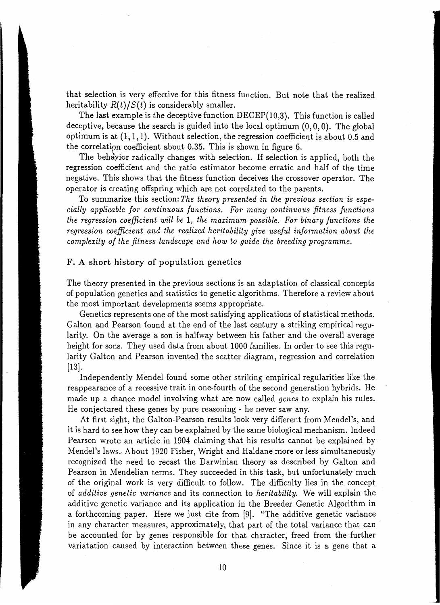that selection is very effective for this fitness function. But note that the realized heritability  $R(t)/S(t)$  is considerably smaller.

The last example is the deceptive function DECEP(10,3). This function is called deceptive, because the search is guided into the local optimum  $(0, 0, 0)$ . The global optimum is at  $(1, 1, 1)$ . Without selection, the regression coefficient is about 0.5 and the correlation coefficient about 0.35. This is shown in figure 6.

The behavior radically changes with selection. If selection is applied, both the regression coefficient and the ratio estimator become erratic and half of the time negative. This shows that the fitness function deceives the crossover operator. The operator is creating offspring which are not correlated to the parents.

To summarize this section: *The theory presented in the previous section is especially applicable for continuous functions. For many continuous fitness functions the regression coefficient will be* 1, *the maximum possible. For binary functions the regression coefficient and the realized heritability give useful information about the complexity of the fitness landscape and how to guide the breeding programme.* 

# F. A short history of population genetics

The theory presented in the previous sections is an adaptation of classical concepts of population genetics and statistics to genetic algorithms. Therefore a review about the most important developments seems appropriate.

Genetics represents one of the most satisfying applications of statistical methods. Galton and Pearson found at the end of the last century a striking empirical regularity. On the average a son is halfway between his father and the overall average height for sons. They used data from about 1000 families. In order to see this regularity Galton and Pearson invented the scatter diagram, regression and correlation [13].

Independently Mendel found some other striking empirical regularities like the reappearance of a recessive trait in one-fourth of the second generation hybrids. He made up a chance model involving what are now called *genes* to explain his rules. He conjectured these genes by pure reasoning - he never saw any.

At first sight, the Galton-Pearson results look very different from Mendel's, and it is hard to see how they can be explained by the same biological mechanism. Indeed Pearson wrote an article in 1904 claiming that his results cannot be explained by Mendel's laws. About 1920 Fisher, Wright and Haldane more or less simultaneously recognized the need to recast the Darwinian theory as described by Galton and Pearson in Mendelian terms. They succeeded in this task, but unfortunately much of the original work is very difficult to follow. The difficulty lies in the concept of *additive genetic variance* and its connection to *heritability.* We will explain the additive genetic variance and its application in the Breeder Genetic Algorithm in a forthcoming paper. Here we just cite from [9]. "The additive genetic variance in any character measures, approximately, that part of the total variance that can be accounted for by genes responsible for that character, freed from the further variatation caused by interaction between these genes. Since it is a gene that a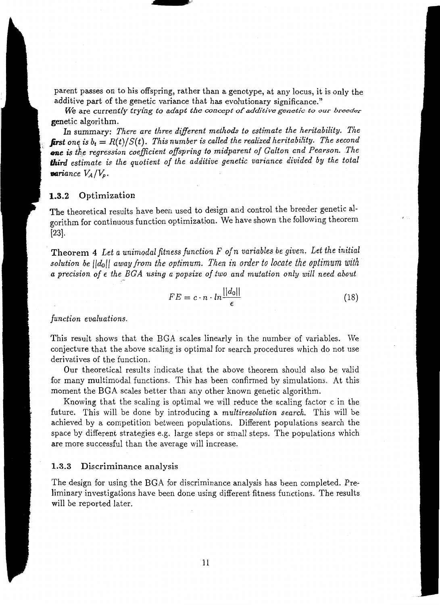parent passes on to his offspring, rather than a genotype, at any locus, it is only the additive part of the genetic variance that has evolutionary significance."

...... lri'l

*We* are currently *trying to adapt the concept of additive genetic to our breeder*  genetic algorithm.

In summary: *There are three different methods to estimate the heritability. The*  **first** one is  $b_t = R(t)/S(t)$ . This number is called the realized heritability. The second one is the regression coefficient offspring to midparent of Galton and Pearson. The *third estimate is the quotient of the additive genetic variance divided by the total variance*  $V_A/V_p$ .

# **1.3.2** Optimization

The theoretical results have been used to design and control the breeder genetic algorithm for continuous function optimization. We have shown the following theorem [23].

Theorem 4 *Let a unimodal fitness function F of n variables be given. Let the initial*  solution be  $||d_0||$  away from the optimum. Then in order to locate the optimum with *a precision of* € *the EGA using a popsize of two and mutation only will need about* 

$$
FE = c \cdot n \cdot \ln \frac{||d_0||}{\epsilon} \tag{18}
$$

*function evaluations.* 

This result shows that the BGA scales linearly in the number of variables. We conjecture that the above scaling is optimal for search procedures which do not use derivatives of the function.

Our theoretical results indicate that the above theorem should also be valid for many multimodal functions. This has been confirmed by simulations. At this moment the EGA scales better than any other known genetic algorithm.

Knowing that the scaling is optimal we will reduce the scaling factor c in the future. This will be done by introducing a *multiresolution search.* This will be achieved by a competition between populations. Different populations search the space by different strategies e.g. large steps or small steps. The populations which are more successful than the average will increase.

### 1.3.3 Discriminance analysis

The design for using the EGA for discriminance analysis has been completed. Preliminary investigations have been done using different fitness functions. The results will be reported later.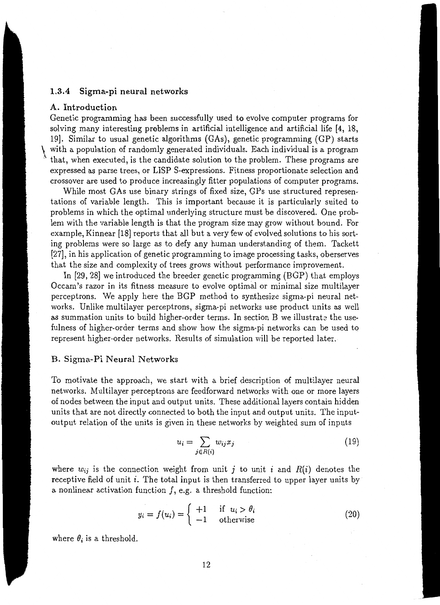# **1.3.4 Sigma-pi neural networks**

### **A. Introduction**

Genetic programming has been successfully used to evolve computer programs for solving many interesting problems in artificial intelligence and artificial life (4, 18, 19). Similar to usual genetic algorithms (GAs), genetic programming (GP) starts with a population of randomly generated individuals. Each individual is a program \ that, when executed, is the candidate solution to the problem. These programs are expressed as parse trees, or LISP S-expressions. Fitness proportionate selection and crossover are used to produce increasingly fitter populations of computer programs.

While most GAs use binary strings of fixed size, GPs use structured representations of variable length. This is important because it is particularly suited to problems in which the optimal underlying structure must be discovered. One problem with the variable length is that the program size may grow without bound. For example, Kinnear [18] reports that all but a very few of evolved solutions to his sorting problems were so large as to defy any human understanding of them. Tackett (27], in his application of genetic programming to image processing tasks, oberserves that the size and complexity of trees grows without performance improvement.

In (29, 28) we introduced the breeder genetic programming (BGP) that employs Occam's razor in its fitness measure to evolve optimal or minimal size multilayer perceptrons. We apply here the BGP method to synthesize sigma-pi neural networks. Unlike multilayer perceptrons, sigma-pi networks use product units as well as summation units to build higher-order terms. In section B we illustrate the usefulness of higher-order terms and show how the sigma-pi networks can be used to represent higher-order networks. Results of simulation will be reported later.

#### B. Sigma-Pi Neural Networks

To motivate the approach, we start with a brief description of multilayer neural networks. Multilayer perceptrons are feedforward networks with one or more layers of nodes between the input and output units. These additional layers contain hidden units that are not directly connected to both the input and output units. The inputoutput relation of the units is given in these networks by weighted sum of inputs

$$
u_i = \sum_{j \in R(i)} w_{ij} x_j \tag{19}
$$

where  $w_{ij}$  is the connection weight from unit *j* to unit *i* and  $R(i)$  denotes the receptive field of unit  $i$ . The total input is then transferred to upper layer units by a nonlinear activation function  $f$ , e.g. a threshold function:

$$
y_i = f(u_i) = \begin{cases} +1 & \text{if } u_i > \theta_i \\ -1 & \text{otherwise} \end{cases}
$$
 (20)

where  $\theta_i$  is a threshold.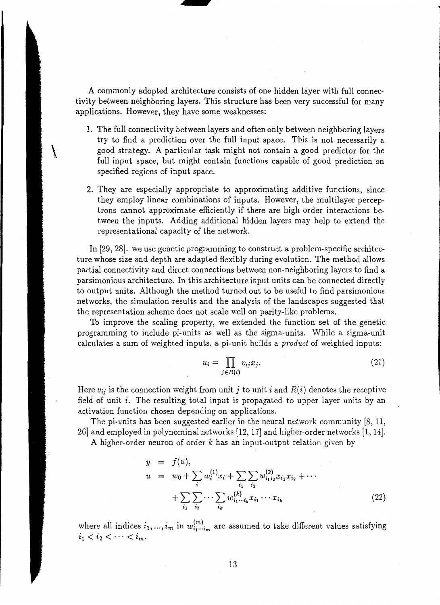A commonly adopted architecture consists of one hidden layer with full connectivity between neighboring layers. This structure has been very successful for many applications. However, they have some weaknesses:

1. The full connectivity between layers and often only between neighboring layers try to find a prediction over the full input space. This is not necessarily a good strategy. A particular task might not contain a good predictor for the full input space, but might contain functions capable of good prediction on specified regions of input space.

\ !

2. They are especially appropriate to approximating additive functions, since they employ linear combinations of inputs. However, the multilayer perceptrons cannot approximate efficiently if there are high order interactions between the inputs. Adding additional hidden layers may help to extend the representational capacity of the network.

In [29, 28]. we use genetic programming to construct a problem-specific architecture whose size and depth are adapted flexibly during evolution. The method allows partial connectivity and direct connections between non-neighboring layers to find a parsimonious architecture. In this architecture input units can be connected directly to output units. Although the method turned out to be useful to find parsimonious networks, the simulation results and the analysis of the landscapes suggested that the representation scheme does not scale well on parity-like problems.

To improve the scaling property, we extended the function set of the genetic programming to include pi-units as well as the sigma-units. While a sigma-unit calculates a sum of weighted inputs, a pi-unit builds a *product* of weighted inputs:

$$
u_i = \prod_{j \in R(i)} v_{ij} x_j. \tag{21}
$$

Here  $v_{ij}$  is the connection weight from unit j to unit i and  $R(i)$  denotes the receptive field of unit  $i$ . The resulting total input is propagated to upper layer units by an activation function chosen depending on applications.

The pi-units has been suggested earlier in the neural network community [8, 11, 26] and employed in polynominal networks [12, 17] and higher-order networks [1, 14].

A higher-order neuron of order *k* has an input-output relation given by

$$
y = f(u),
$$
  
\n
$$
u = w_0 + \sum_i w_i^{(1)} x_i + \sum_{i_1} \sum_{i_2} w_{i_1 i_2}^{(2)} x_{i_1} x_{i_2} + \cdots
$$
  
\n
$$
+ \sum_{i_1} \sum_{i_2} \cdots \sum_{i_k} w_{i_1 \cdots i_k}^{(k)} x_{i_1} \cdots x_{i_k}
$$
\n(22)

where all indices  $i_1, ..., i_m$  in  $w^{(m)}_{i_1 \cdots i_m}$  are assumed to take different values satisfying  $i_1 < i_2 < \cdots < i_m$ .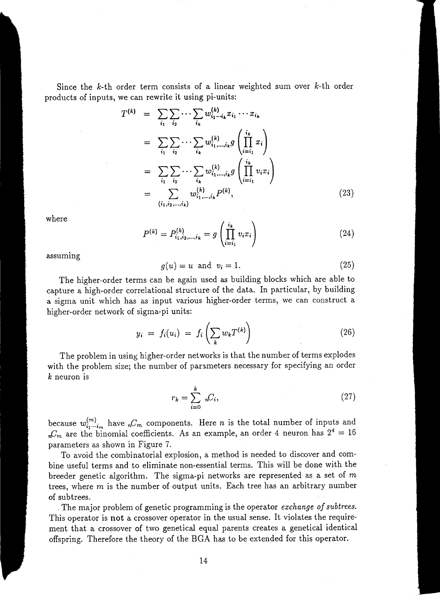Since the  $k$ -th order term consists of a linear weighted sum over  $k$ -th order products of inputs, we can rewrite it using pi-units:

$$
T^{(k)} = \sum_{i_1} \sum_{i_2} \cdots \sum_{i_k} w_{i_1 \cdots i_k}^{(k)} x_{i_1} \cdots x_{i_k}
$$
  
\n
$$
= \sum_{i_1} \sum_{i_2} \cdots \sum_{i_k} w_{i_1, \ldots, i_k}^{(k)} g\left(\prod_{i=i_1}^{i_k} x_i\right)
$$
  
\n
$$
= \sum_{i_1} \sum_{i_2} \cdots \sum_{i_k} w_{i_1, \ldots, i_k}^{(k)} g\left(\prod_{i=i_1}^{i_k} v_i x_i\right)
$$
  
\n
$$
= \sum_{(i_1, i_2, \ldots, i_k)} w_{i_1, \ldots, i_k}^{(k)} P^{(k)},
$$
\n(23)

where

$$
P^{(k)} = P_{i_1, i_2, \dots, i_k}^{(k)} = g\left(\prod_{i=i_1}^{i_k} v_i x_i\right) \tag{24}
$$

assuming

$$
g(u) = u \text{ and } v_i = 1. \tag{25}
$$

The higher-order terms can be again used as building blocks which are able to capture a high-order correlational structure of the data. In particular, by building a sigma unit which has as input various higher-order terms, we can construct a higher-order network of sigma-pi units:

$$
y_i = f_i(u_i) = f_i\left(\sum_k w_k T^{(k)}\right) \tag{26}
$$

The problem in using higher-order networks is that the number of terms explodes with the problem size; the number of parameters necessary for specifying an order *k* neuron is

$$
r_k = \sum_{i=0}^k n_i C_i,\tag{27}
$$

because  $w^{(m)}_{i_1\cdots i_m}$  have  ${}_{n}C_m$  components. Here *n* is the total number of inputs and  $J_m C_m$  are the binomial coefficients. As an example, an order 4 neuron has  $2^4 = 16$ parameters as shown in Figure 7.

To avoid the combinatorial explosion, a method is needed to discover and combine useful terms and to eliminate non-essential terms. This will be done with the breeder genetic algorithm. The sigma-pi networks are represented as a set of *m*  trees, where *m* is the number of output units. Each tree has an arbitrary number of subtrees .

. The major problem of genetic programming is the operator *exchange of subtrees.*  This operator is **not** a crossover operator in the usual sense. It violates the requirement that a crossover of two genetical equal parents creates a genetical identical offspring. Therefore the theory of the BGA has to be extended for this operator.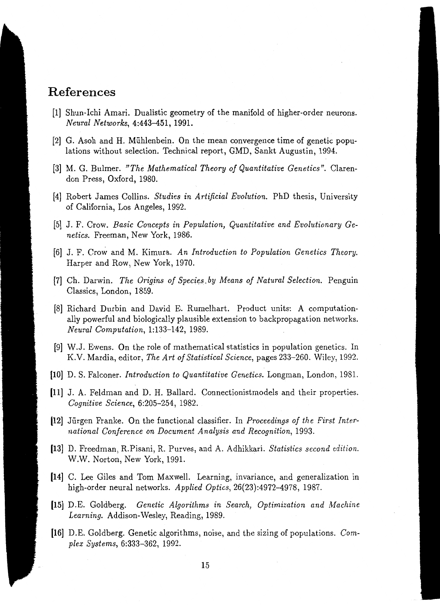# **References**

- [1] Shun-lchi Amari. Dualistic geometry of the manifold of higher-order neurons. *Neural Networks,* 4:443-451, 1991.
- [2] G. Asoh and H. Miihlenbein. On the mean convergence time of genetic populations without selection. Technical report, GMD, Sankt Augustin, 1994.
- [3] M. G. Bulmer. *"The Mathematical Theory of Quantitative Genetics".* Clarendon Press, Oxford, 1980.
- [4] Robert James Collins. *Studies in Artificial Evolution.* PhD thesis, University of California, Los Angeles, 1992.
- [5] J. F. Crow. *Basic Concepts in Population, Quantitative and Evolutionary Genetics.* Freeman, New York, 1986.
- [6] J. F. Crow and M. Kimura. An Introduction to Population Genetics Theory. Harper and Row, New York, 1970.
- [7] Ch. Darwin. *The Origins of Species.by Means of Natural Selection.* Penguin Classics, London, 1859.
- [8] Richard Durbin and David E. Rumelhart. Product units: A computationally powerful and biologically plausible extension to backpropagation networks. *Neural Computation,* 1:133-142, 1989.
- [9] W.J. Ewens. On the role of mathematical statistics in population genetics. In K.V. Mardia, editor, *The Art of Statistical Science,* pages 233-260. Wiley, 1992.
- [10] D. S. Falconer. *Introduction to Quantitative Genetics.* Longman, London, 1981.
- (11] J. A. Feldman and D. H. Ballard. Connectionistmodels and their properties. *Cognitive Science,* 6:205-254, 1982.
- (12] Jiirgen Franke. On the functional classifier. In *Proceedings of the First International Conference on Document Analysis and Recognition,* 1993.
- [13] D. Freedman, R.Pisani, R. Purves, and A. Adhikkari. *Statistics second edition.*  W.W. Norton, New York, 1991.
- (14] C. Lee Giles and Tom Maxwell. Learning, invariance, and generalization in high-order neural networks. *Applied Optics,* 26(23):4972-4978, 1987.
- [15] D.E. Goldberg. *Genetic Algorithms in Search, Optimization and Machine* Learning. Addison-Wesley, Reading, 1989.
- (16] D.E. Goldberg. Genetic algorithms, noise, and the sizing of populations. *Complex Systems,* 6:333-362, 1992.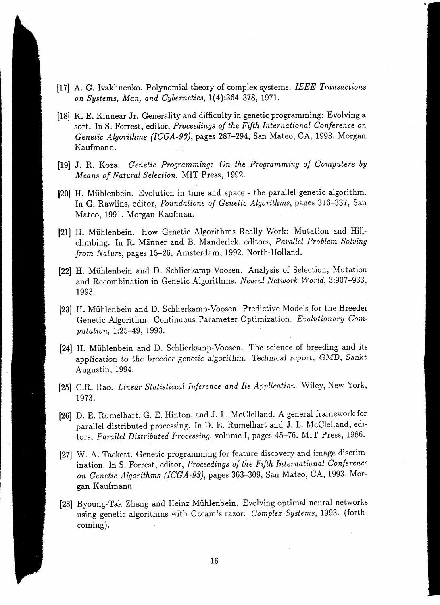- [17] A. G. lvakhnenko. Polyno'mial theory of complex systems. *IEEE Transactions on Systems, Man, and Cybernetics,* 1{ 4):364-378, 1971.
- [18] K. E. Kinnear Jr. Generality and difficulty in genetic programming: Evolving a sort. InS. Forrest, editor, *Proceedings of the Fifth International Conference on Genetic Algorithms (ICGA-93),* pages 287-294, San Mateo, CA, 1993. Morgan Kaufmann.
- [19] J. R. Koza. *Genetic Programming: On the Programming of Computers by Means of Natural Selection.* MIT Press, 1992.
- (20] H. Miihlenbein. Evolution in time and space the parallel genetic algorithm. In G. Rawlins, editor, *Foundations of Genetic Algorithms,* pages 316-337, San Mateo, 1991. Morgan-Kaufman.
- [21] H. Mühlenbein. How Genetic Algorithms Really Work: Mutation and Hillclimbing. In R. Manner and B. Manderick, editors, *Parallel Problem Solving from Nature,* pages 15-26, Amsterdam, 1992. North-Holland.
- (22] H. Miihlenbein and D. Schlierkamp-Voosen. Analysis of Selection, Mutation and Recombination in Genetic Algorithms. *Neural Network World,* 3:907-933, 1993.
- (23] H. Miihlenbein and D. Schlierkamp-Voosen. Predictive Models for the Breeder Genetic Algorithm: Continuous Parameter Optimization. *Evolutionary Computation,* 1:25-49, 1993.
- [24) H. Miihlenbein and D. Schlierkamp-Voosen. The science of breeding and its *application to* the breeder *genetic algorithm. Technical* report, GMD, Sankt Augustin, 1994.
- [25] C.R. Rao. *Linear Statisticcal Inference and Its Application.* Wiley, New York, 1973.
- [26] D. E. Rumelhart, G. E. Hinton, and J. L. McClelland. A general framework for parallel distributed processing. In D. E. Rumelhart and J. L. McClelland, editors, *Parallel Distributed Processing,* volume I, pages 45-76. MIT Press, 1986.
- [27] W. A. Tackett. Genetic programming for feature discovery and image discrimination. In S. Forrest, editor, *Proceedings of the Fifth International Conference on Genetic Algorithms (ICGA-93),* pages 303-309, San Mateo, CA, 1993. Morgan Kaufmann.
- [28] Byoung-Tak Zhang and Heinz Miihlenbein. Evolving optimal neural networks using genetic algorithms with Occam's razor. *Complex Systems,* 1993. (forthcoming).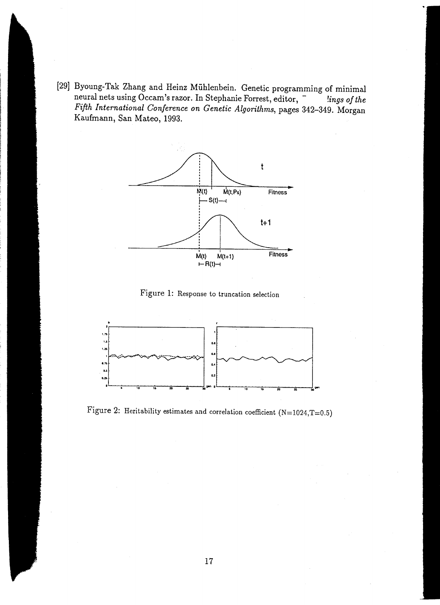[29] Byoung-Tak Zhang and Heinz Miihlenbein. Genetic programming of minimal neural nets using Occam's razor. In Stephanie Forrest, editor, - *!ings of the Fifth International Conference on Genetic Algorithms,* pages 342-349. Morgan Kaufmann, San Mateo, 1993.



Figure 1: Response to truncation selection



Figure 2: Heritability estimates and correlation coefficient (N=1024,T=0.5)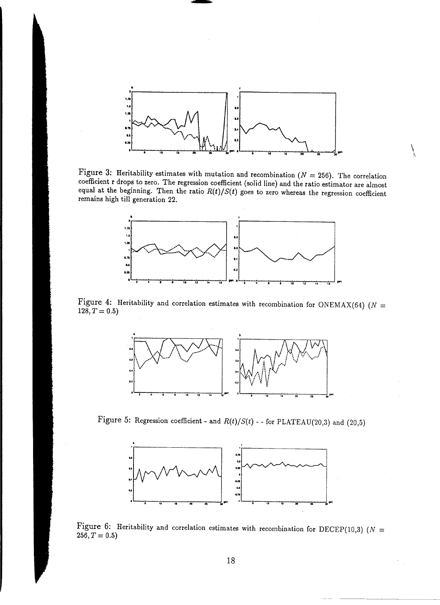

 $\int$ 

---------

Figure 3: Heritability estimates with mutation and recombination ( $N = 256$ ). The correlation coefficient r drops to zero. The regression coefficient (solid line) and the ratio estimator are almost equal at the beginning. Then the ratio  $R(t)/S(t)$  goes to zero whereas the regression coefficient remains high till generation 22.



Figure 4: Heritability and correlation estimates with recombination for ONEMAX(64) ( $N =$  $128, T = 0.5$ 



Figure 5: Regression coefficient - and  $R(t)/S(t)$  - - for PLATEAU(20,3) and (20,5)



Figure 6: Heritability and correlation estimates with recombination for DECEP(10,3) ( $N =$  $256, T = 0.5$